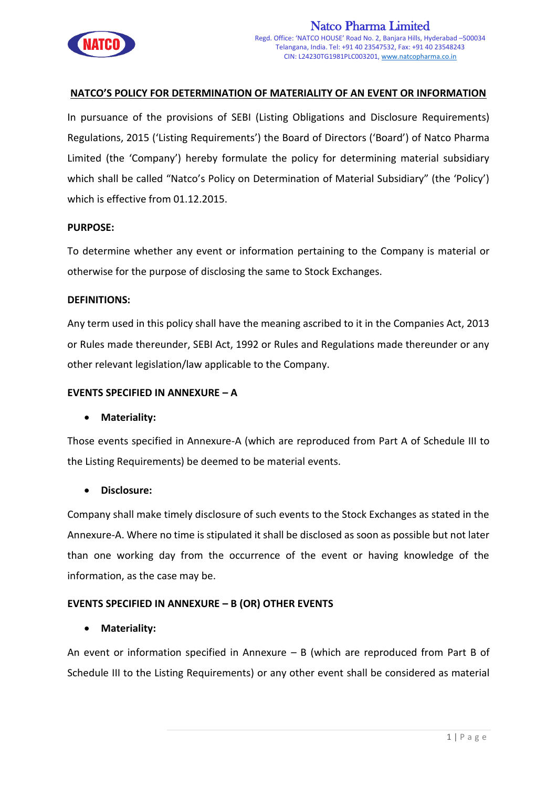

# **NATCO'S POLICY FOR DETERMINATION OF MATERIALITY OF AN EVENT OR INFORMATION**

In pursuance of the provisions of SEBI (Listing Obligations and Disclosure Requirements) Regulations, 2015 ('Listing Requirements') the Board of Directors ('Board') of Natco Pharma Limited (the 'Company') hereby formulate the policy for determining material subsidiary which shall be called "Natco's Policy on Determination of Material Subsidiary" (the 'Policy') which is effective from 01.12.2015.

### **PURPOSE:**

To determine whether any event or information pertaining to the Company is material or otherwise for the purpose of disclosing the same to Stock Exchanges.

#### **DEFINITIONS:**

Any term used in this policy shall have the meaning ascribed to it in the Companies Act, 2013 or Rules made thereunder, SEBI Act, 1992 or Rules and Regulations made thereunder or any other relevant legislation/law applicable to the Company.

### **EVENTS SPECIFIED IN ANNEXURE – A**

### **Materiality:**

Those events specified in Annexure-A (which are reproduced from Part A of Schedule III to the Listing Requirements) be deemed to be material events.

### **Disclosure:**

Company shall make timely disclosure of such events to the Stock Exchanges as stated in the Annexure-A. Where no time is stipulated it shall be disclosed as soon as possible but not later than one working day from the occurrence of the event or having knowledge of the information, as the case may be.

### **EVENTS SPECIFIED IN ANNEXURE – B (OR) OTHER EVENTS**

### **Materiality:**

An event or information specified in Annexure – B (which are reproduced from Part B of Schedule III to the Listing Requirements) or any other event shall be considered as material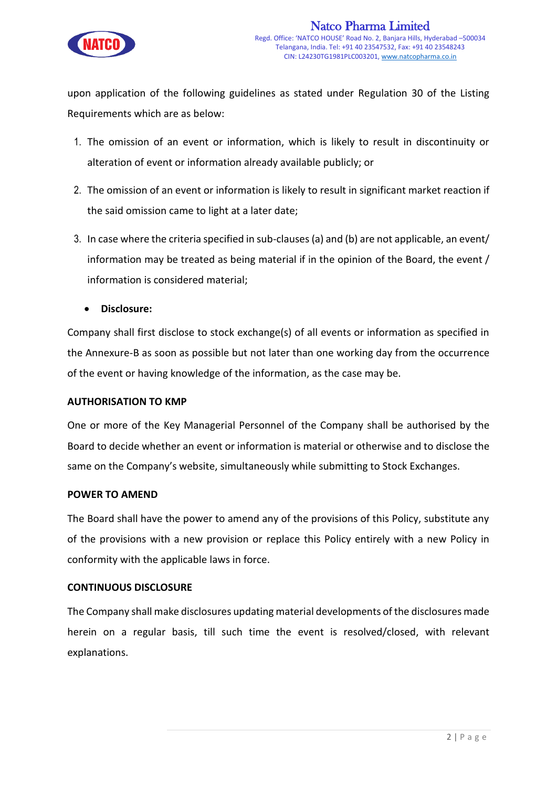

upon application of the following guidelines as stated under Regulation 30 of the Listing Requirements which are as below:

- 1. The omission of an event or information, which is likely to result in discontinuity or alteration of event or information already available publicly; or
- 2. The omission of an event or information is likely to result in significant market reaction if the said omission came to light at a later date;
- 3. In case where the criteria specified in sub-clauses (a) and (b) are not applicable, an event/ information may be treated as being material if in the opinion of the Board, the event / information is considered material;
	- **Disclosure:**

Company shall first disclose to stock exchange(s) of all events or information as specified in the Annexure-B as soon as possible but not later than one working day from the occurrence of the event or having knowledge of the information, as the case may be.

# **AUTHORISATION TO KMP**

One or more of the Key Managerial Personnel of the Company shall be authorised by the Board to decide whether an event or information is material or otherwise and to disclose the same on the Company's website, simultaneously while submitting to Stock Exchanges.

# **POWER TO AMEND**

The Board shall have the power to amend any of the provisions of this Policy, substitute any of the provisions with a new provision or replace this Policy entirely with a new Policy in conformity with the applicable laws in force.

# **CONTINUOUS DISCLOSURE**

The Company shall make disclosures updating material developments of the disclosures made herein on a regular basis, till such time the event is resolved/closed, with relevant explanations.